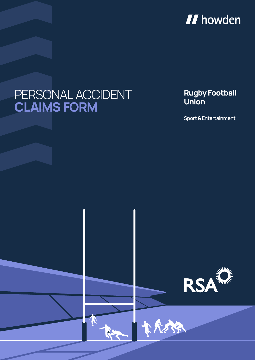

# PERSONAL ACCIDENT **CLAIMS FORM**

#### **Rugby Football Union**

**Sport & Entertainment**



大惊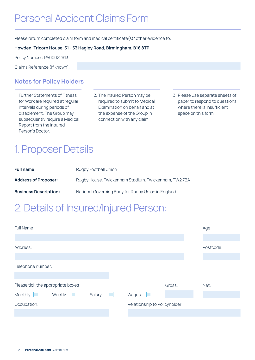### Personal Accident Claims Form

Please return completed claim form and medical certificate(s) / other evidence to:

#### **Howden, Tricorn House, 51 - 53 Hagley Road, Birmingham, B16 8TP**

Policy Number: PA00022913

Claims Reference (If known):

#### **Notes for Policy Holders**

- 1. Further Statements of Fitness for Work are required at regular intervals during periods of disablement. The Group may subsequently require a Medical Report from the Insured Person's Doctor.
- 2. The Insured Person may be required to submit to Medical Examination on behalf and at the expense of the Group in connection with any claim.
- 3. Please use separate sheets of paper to respond to questions where there is insufficient space on this form.

## 1. Proposer Details

| <b>Full name:</b>            | Rugby Football Union                                |
|------------------------------|-----------------------------------------------------|
| <b>Address of Proposer:</b>  | Rugby House, Twickenham Stadium, Twickenham, TW27BA |
| <b>Business Description:</b> | National Governing Body for Rugby Union in England  |

#### 2. Details of Insured/Injured Person:

| <b>Full Name:</b>                             |        |     |                               |        | Age:      |
|-----------------------------------------------|--------|-----|-------------------------------|--------|-----------|
|                                               |        |     |                               |        |           |
| Address:                                      |        |     |                               |        | Postcode: |
|                                               |        |     |                               |        |           |
| Telephone number:                             |        |     |                               |        |           |
|                                               |        |     |                               |        |           |
| Please tick the appropriate boxes             |        |     |                               | Gross: | Net:      |
| Monthly <b>No</b><br>Weekly<br><b>College</b> | Salary | r i | $\Box$<br>Wages               |        |           |
| Occupation:                                   |        |     | Relationship to Policyholder: |        |           |
|                                               |        |     |                               |        |           |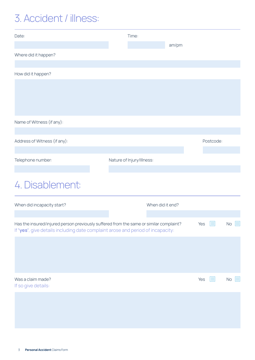## 3. Accident / illness:

| Date:                                                                                                                                                                     | Time:                     |                  |           |              |
|---------------------------------------------------------------------------------------------------------------------------------------------------------------------------|---------------------------|------------------|-----------|--------------|
|                                                                                                                                                                           |                           | am/pm            |           |              |
| Where did it happen?                                                                                                                                                      |                           |                  |           |              |
| How did it happen?                                                                                                                                                        |                           |                  |           |              |
|                                                                                                                                                                           |                           |                  |           |              |
|                                                                                                                                                                           |                           |                  |           |              |
|                                                                                                                                                                           |                           |                  |           |              |
| Name of Witness (if any):                                                                                                                                                 |                           |                  |           |              |
|                                                                                                                                                                           |                           |                  |           |              |
| Address of Witness (if any):                                                                                                                                              |                           |                  | Postcode: |              |
| Telephone number:                                                                                                                                                         | Nature of Injury/Illness: |                  |           |              |
|                                                                                                                                                                           |                           |                  |           |              |
| 4. Disablement:                                                                                                                                                           |                           |                  |           |              |
| When did incapacity start?                                                                                                                                                |                           | When did it end? |           |              |
|                                                                                                                                                                           |                           |                  |           |              |
| Has the insured/injured person previously suffered from the same or similar complaint?<br>If 'yes', give details including date complaint arose and period of incapacity: |                           |                  | Yes       | No<br>×.     |
|                                                                                                                                                                           |                           |                  |           |              |
|                                                                                                                                                                           |                           |                  |           |              |
|                                                                                                                                                                           |                           |                  |           |              |
| Was a claim made?                                                                                                                                                         |                           |                  | Yes<br>И. | $\Box$<br>No |
| If so give details:                                                                                                                                                       |                           |                  |           |              |
|                                                                                                                                                                           |                           |                  |           |              |
|                                                                                                                                                                           |                           |                  |           |              |
|                                                                                                                                                                           |                           |                  |           |              |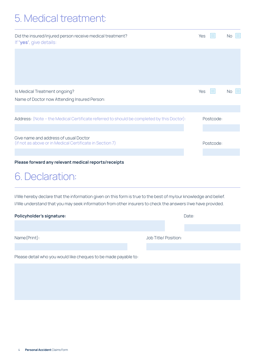### 5. Medical treatment:

| Did the insured/injured person receive medical treatment?<br>If 'yes', give details:              |  | Yes       |           | <b>No</b> |             |
|---------------------------------------------------------------------------------------------------|--|-----------|-----------|-----------|-------------|
|                                                                                                   |  |           |           |           |             |
|                                                                                                   |  |           |           |           |             |
| Is Medical Treatment ongoing?                                                                     |  | Yes       |           | <b>No</b> | <b>IT I</b> |
| Name of Doctor now Attending Insured Person:                                                      |  |           |           |           |             |
|                                                                                                   |  |           |           |           |             |
| Address: (Note - the Medical Certificate referred to should be completed by this Doctor):         |  |           | Postcode: |           |             |
|                                                                                                   |  |           |           |           |             |
| Give name and address of usual Doctor<br>(if not as above or in Medical Certificate in Section 7) |  | Postcode: |           |           |             |
|                                                                                                   |  |           |           |           |             |
| Please forward any relevant medical reports/receipts                                              |  |           |           |           |             |

#### 6. Declaration:

I/We hereby declare that the information given on this form is true to the best of my/our knowledge and belief. I/We understand that you may seek information from other insurers to check the answers I/we have provided.

| Policyholder's signature: |                      | Date: |  |
|---------------------------|----------------------|-------|--|
|                           |                      |       |  |
| Name(Print):              | Job Title/ Position: |       |  |

Please detail who you would like cheques to be made payable to: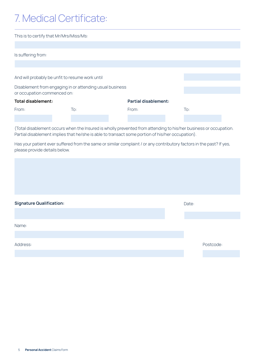## 7. Medical Certificate:

| This is to certify that Mr/Mrs/Miss/Ms:         |                                                          |                             |                   |  |  |
|-------------------------------------------------|----------------------------------------------------------|-----------------------------|-------------------|--|--|
|                                                 |                                                          |                             |                   |  |  |
| Is suffering from:                              |                                                          |                             |                   |  |  |
|                                                 |                                                          |                             |                   |  |  |
|                                                 |                                                          |                             |                   |  |  |
| And will probably be unfit to resume work until |                                                          |                             |                   |  |  |
|                                                 | Disablement from engaging in or attending usual business |                             |                   |  |  |
| or occupation commenced on:                     |                                                          |                             |                   |  |  |
| Total disablement:                              |                                                          | <b>Partial disablement:</b> |                   |  |  |
| From:                                           | To:                                                      | From:                       | $\overline{1}$ o: |  |  |
|                                                 |                                                          |                             |                   |  |  |

(Total disablement occurs when the Insured is wholly prevented from attending to his/her business or occupation. Partial disablement implies that he/she is able to transact some portion of his/her occupation).

Has your patient ever suffered from the same or similar complaint / or any contributory factors in the past? If yes, please provide details below.

| <b>Signature Qualification:</b> | Date: |           |
|---------------------------------|-------|-----------|
|                                 |       |           |
| Name:                           |       |           |
|                                 |       |           |
| Address:                        |       | Postcode: |
|                                 |       |           |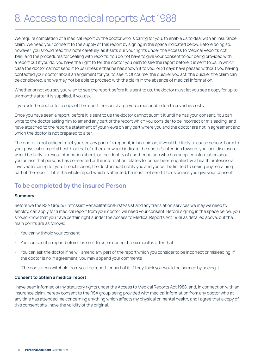### 8. Access to medical reports Act 1988

We require completion of a medical report by the doctor who is caring for you, to enable us to deal with an insurance claim. We need your consent to the supply of this report by signing in the space indicated below. Before doing so, however, you should read this note carefully, as it sets our your rights under the Access to Medical Reports Act 1988 and the procedures for dealing with reports. You do not have to give your consent to our being provided with a report but if you do, you have the right to tell the doctor you wish to see the report before it is sent to us, in which case the doctor cannot send it to us unless either he has shown it to you, or 21 days have passed without you having contacted your doctor about arrangement for you to see it. Of course, the quicker you act, the quicker the claim can be considered, and we may not be able to proceed with the claim in the absence of medical information.

Whether or not you say you wish to see the report before it is sent to us, the doctor must let you see a copy for up to six months after it is supplied, if you ask.

If you ask the doctor for a copy of the report, he can charge you a reasonable fee to cover his costs.

Once you have seen a report, before it is sent to us the doctor cannot submit it until he has your consent. You can write to the doctor asking him to amend any part of the report which you consider to be incorrect or misleading, and have attached to the report a statement of your views on any part where you and the doctor are not in agreement and which the doctor is not prepared to alter.

The doctor is not obliged to let you see any part of a report if, in his opinion, it would be likely to cause serious harm to your physical or mental health or that of others, or would indicate the doctor's intention towards you, or if disclosure would be likely to reveal information about, or the identity of another person who has supplied information about you unless that persons has consented or the information relates to, or has been supplied by a health professional involved in caring for you. In such cases, the doctor must notify you and you will be limited to seeing any remaining part of the report. If it is the whole report which is affected, he must not send it to us unless you give your consent.

#### **To be completed by the insured Person**

#### **Summary**

Before we the RSA Group/FirstAssist Rehabilitation/FirstAssist and any translation services we may we need to employ, can apply for a medical report from your doctor, we need your consent. Before signing in the space below, you should know that you have certain right sunder the Access to Medical Reports Act 1988 as detailed above, but the main points are as follows;

- You can withhold your consent
- You can see the report before it is sent to us, or during the six months after that
- You can ask the doctor if he will amend any part of the report which you consider to be incorrect or misleading. If the doctor is no in agreement, you may append your comments
- The doctor can withhold from you the report, or part of it, if they think you would be harmed by seeing it

#### **Consent to obtain a medical report**

I have been informed of my statutory rights under the Access to Medical Reports Act 1988, and, in connection with an insurance claim, hereby consent to the RSA group being provided with medical information from any doctor who at any time has attended me concerning anything which affects my physical or mental health, and I agree that a copy of this consent shall have the validity of the original.